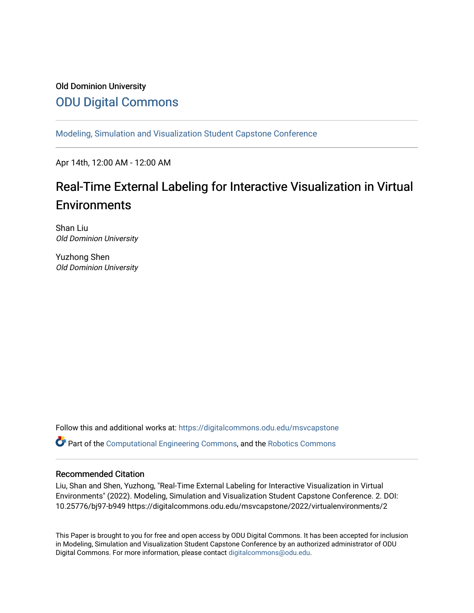# Old Dominion University [ODU Digital Commons](https://digitalcommons.odu.edu/)

[Modeling, Simulation and Visualization Student Capstone Conference](https://digitalcommons.odu.edu/msvcapstone) 

Apr 14th, 12:00 AM - 12:00 AM

# Real-Time External Labeling for Interactive Visualization in Virtual **Environments**

Shan Liu Old Dominion University

Yuzhong Shen Old Dominion University

Follow this and additional works at: [https://digitalcommons.odu.edu/msvcapstone](https://digitalcommons.odu.edu/msvcapstone?utm_source=digitalcommons.odu.edu%2Fmsvcapstone%2F2022%2Fvirtualenvironments%2F2&utm_medium=PDF&utm_campaign=PDFCoverPages)   $\bullet$  Part of the [Computational Engineering Commons](http://network.bepress.com/hgg/discipline/311?utm_source=digitalcommons.odu.edu%2Fmsvcapstone%2F2022%2Fvirtualenvironments%2F2&utm_medium=PDF&utm_campaign=PDFCoverPages), and the [Robotics Commons](http://network.bepress.com/hgg/discipline/264?utm_source=digitalcommons.odu.edu%2Fmsvcapstone%2F2022%2Fvirtualenvironments%2F2&utm_medium=PDF&utm_campaign=PDFCoverPages)

#### Recommended Citation

Liu, Shan and Shen, Yuzhong, "Real-Time External Labeling for Interactive Visualization in Virtual Environments" (2022). Modeling, Simulation and Visualization Student Capstone Conference. 2. DOI: 10.25776/bj97-b949 https://digitalcommons.odu.edu/msvcapstone/2022/virtualenvironments/2

This Paper is brought to you for free and open access by ODU Digital Commons. It has been accepted for inclusion in Modeling, Simulation and Visualization Student Capstone Conference by an authorized administrator of ODU Digital Commons. For more information, please contact [digitalcommons@odu.edu.](mailto:digitalcommons@odu.edu)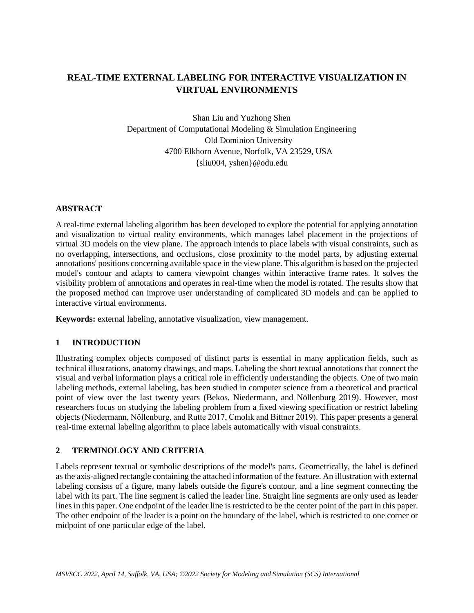# **REAL-TIME EXTERNAL LABELING FOR INTERACTIVE VISUALIZATION IN VIRTUAL ENVIRONMENTS**

Shan Liu and Yuzhong Shen Department of Computational Modeling & Simulation Engineering Old Dominion University 4700 Elkhorn Avenue, Norfolk, VA 23529, USA {sliu004, yshen}@odu.edu

#### **ABSTRACT**

A real-time external labeling algorithm has been developed to explore the potential for applying annotation and visualization to virtual reality environments, which manages label placement in the projections of virtual 3D models on the view plane. The approach intends to place labels with visual constraints, such as no overlapping, intersections, and occlusions, close proximity to the model parts, by adjusting external annotations' positions concerning available space in the view plane. This algorithm is based on the projected model's contour and adapts to camera viewpoint changes within interactive frame rates. It solves the visibility problem of annotations and operates in real-time when the model is rotated. The results show that the proposed method can improve user understanding of complicated 3D models and can be applied to interactive virtual environments.

**Keywords:** external labeling, annotative visualization, view management.

## **1 INTRODUCTION**

Illustrating complex objects composed of distinct parts is essential in many application fields, such as technical illustrations, anatomy drawings, and maps. Labeling the short textual annotations that connect the visual and verbal information plays a critical role in efficiently understanding the objects. One of two main labeling methods, external labeling, has been studied in computer science from a theoretical and practical point of view over the last twenty years (Bekos, Niedermann, and Nöllenburg 2019). However, most researchers focus on studying the labeling problem from a fixed viewing specification or restrict labeling objects (Niedermann, Nöllenburg, and Rutte 2017, Cmolık and Bittner 2019). This paper presents a general real-time external labeling algorithm to place labels automatically with visual constraints.

## **2 TERMINOLOGY AND CRITERIA**

Labels represent textual or symbolic descriptions of the model's parts. Geometrically, the label is defined as the axis-aligned rectangle containing the attached information of the feature. An illustration with external labeling consists of a figure, many labels outside the figure's contour, and a line segment connecting the label with its part. The line segment is called the leader line. Straight line segments are only used as leader lines in this paper. One endpoint of the leader line is restricted to be the center point of the part in this paper. The other endpoint of the leader is a point on the boundary of the label, which is restricted to one corner or midpoint of one particular edge of the label.